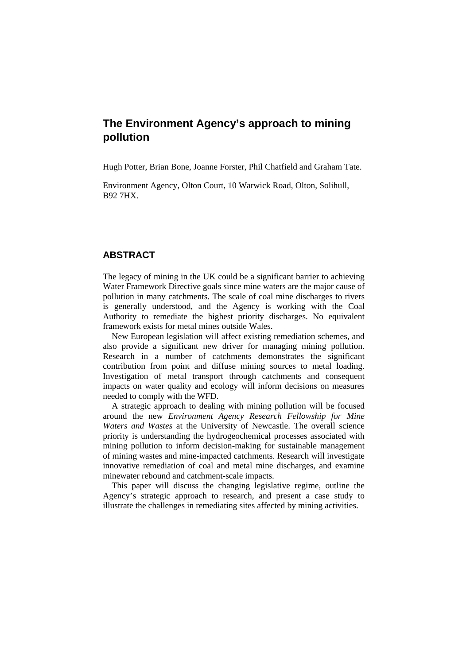# **The Environment Agency's approach to mining pollution**

Hugh Potter, Brian Bone, Joanne Forster, Phil Chatfield and Graham Tate.

Environment Agency, Olton Court, 10 Warwick Road, Olton, Solihull, B92 7HX.

# **ABSTRACT**

The legacy of mining in the UK could be a significant barrier to achieving Water Framework Directive goals since mine waters are the major cause of pollution in many catchments. The scale of coal mine discharges to rivers is generally understood, and the Agency is working with the Coal Authority to remediate the highest priority discharges. No equivalent framework exists for metal mines outside Wales.

New European legislation will affect existing remediation schemes, and also provide a significant new driver for managing mining pollution. Research in a number of catchments demonstrates the significant contribution from point and diffuse mining sources to metal loading. Investigation of metal transport through catchments and consequent impacts on water quality and ecology will inform decisions on measures needed to comply with the WFD.

A strategic approach to dealing with mining pollution will be focused around the new *Environment Agency Research Fellowship for Mine Waters and Wastes* at the University of Newcastle. The overall science priority is understanding the hydrogeochemical processes associated with mining pollution to inform decision-making for sustainable management of mining wastes and mine-impacted catchments. Research will investigate innovative remediation of coal and metal mine discharges, and examine minewater rebound and catchment-scale impacts.

This paper will discuss the changing legislative regime, outline the Agency's strategic approach to research, and present a case study to illustrate the challenges in remediating sites affected by mining activities.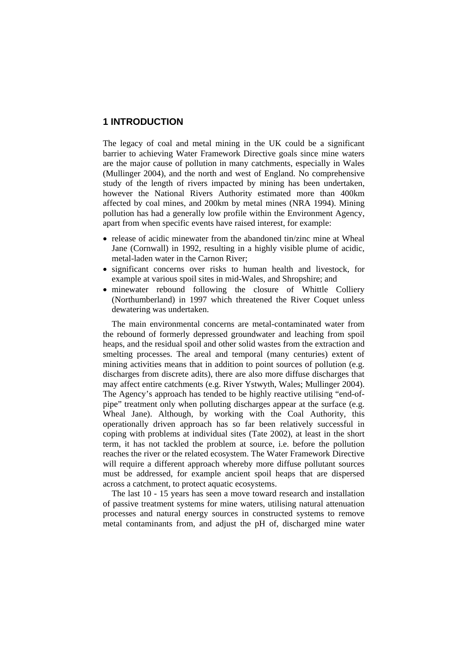## **1 INTRODUCTION**

The legacy of coal and metal mining in the UK could be a significant barrier to achieving Water Framework Directive goals since mine waters are the major cause of pollution in many catchments, especially in Wales (Mullinger 2004), and the north and west of England. No comprehensive study of the length of rivers impacted by mining has been undertaken, however the National Rivers Authority estimated more than 400km affected by coal mines, and 200km by metal mines (NRA 1994). Mining pollution has had a generally low profile within the Environment Agency, apart from when specific events have raised interest, for example:

- release of acidic minewater from the abandoned tin/zinc mine at Wheal Jane (Cornwall) in 1992, resulting in a highly visible plume of acidic, metal-laden water in the Carnon River;
- significant concerns over risks to human health and livestock, for example at various spoil sites in mid-Wales, and Shropshire; and
- minewater rebound following the closure of Whittle Colliery (Northumberland) in 1997 which threatened the River Coquet unless dewatering was undertaken.

The main environmental concerns are metal-contaminated water from the rebound of formerly depressed groundwater and leaching from spoil heaps, and the residual spoil and other solid wastes from the extraction and smelting processes. The areal and temporal (many centuries) extent of mining activities means that in addition to point sources of pollution (e.g. discharges from discrete adits), there are also more diffuse discharges that may affect entire catchments (e.g. River Ystwyth, Wales; Mullinger 2004). The Agency's approach has tended to be highly reactive utilising "end-ofpipe" treatment only when polluting discharges appear at the surface (e.g. Wheal Jane). Although, by working with the Coal Authority, this operationally driven approach has so far been relatively successful in coping with problems at individual sites (Tate 2002), at least in the short term, it has not tackled the problem at source, i.e. before the pollution reaches the river or the related ecosystem. The Water Framework Directive will require a different approach whereby more diffuse pollutant sources must be addressed, for example ancient spoil heaps that are dispersed across a catchment, to protect aquatic ecosystems.

The last 10 - 15 years has seen a move toward research and installation of passive treatment systems for mine waters, utilising natural attenuation processes and natural energy sources in constructed systems to remove metal contaminants from, and adjust the pH of, discharged mine water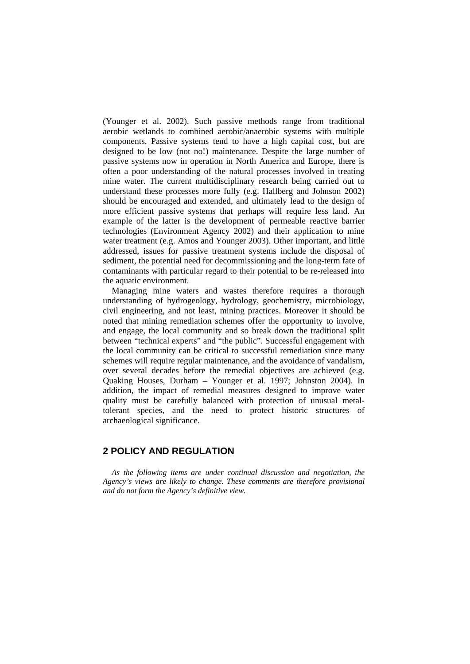(Younger et al. 2002). Such passive methods range from traditional aerobic wetlands to combined aerobic/anaerobic systems with multiple components. Passive systems tend to have a high capital cost, but are designed to be low (not no!) maintenance. Despite the large number of passive systems now in operation in North America and Europe, there is often a poor understanding of the natural processes involved in treating mine water. The current multidisciplinary research being carried out to understand these processes more fully (e.g. Hallberg and Johnson 2002) should be encouraged and extended, and ultimately lead to the design of more efficient passive systems that perhaps will require less land. An example of the latter is the development of permeable reactive barrier technologies (Environment Agency 2002) and their application to mine water treatment (e.g. Amos and Younger 2003). Other important, and little addressed, issues for passive treatment systems include the disposal of sediment, the potential need for decommissioning and the long-term fate of contaminants with particular regard to their potential to be re-released into the aquatic environment.

Managing mine waters and wastes therefore requires a thorough understanding of hydrogeology, hydrology, geochemistry, microbiology, civil engineering, and not least, mining practices. Moreover it should be noted that mining remediation schemes offer the opportunity to involve, and engage, the local community and so break down the traditional split between "technical experts" and "the public". Successful engagement with the local community can be critical to successful remediation since many schemes will require regular maintenance, and the avoidance of vandalism, over several decades before the remedial objectives are achieved (e.g. Quaking Houses, Durham – Younger et al. 1997; Johnston 2004). In addition, the impact of remedial measures designed to improve water quality must be carefully balanced with protection of unusual metaltolerant species, and the need to protect historic structures of archaeological significance.

## **2 POLICY AND REGULATION**

*As the following items are under continual discussion and negotiation, the Agency's views are likely to change. These comments are therefore provisional and do not form the Agency's definitive view.*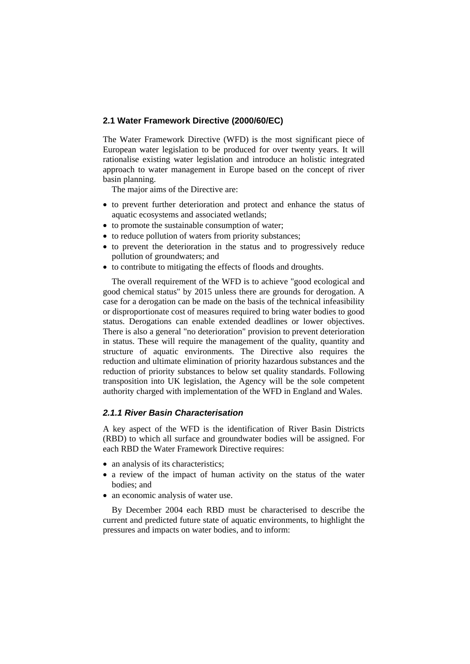#### **2.1 Water Framework Directive (2000/60/EC)**

The Water Framework Directive (WFD) is the most significant piece of European water legislation to be produced for over twenty years. It will rationalise existing water legislation and introduce an holistic integrated approach to water management in Europe based on the concept of river basin planning.

The major aims of the Directive are:

- to prevent further deterioration and protect and enhance the status of aquatic ecosystems and associated wetlands;
- to promote the sustainable consumption of water;
- to reduce pollution of waters from priority substances;
- to prevent the deterioration in the status and to progressively reduce pollution of groundwaters; and
- to contribute to mitigating the effects of floods and droughts.

The overall requirement of the WFD is to achieve "good ecological and good chemical status" by 2015 unless there are grounds for derogation. A case for a derogation can be made on the basis of the technical infeasibility or disproportionate cost of measures required to bring water bodies to good status. Derogations can enable extended deadlines or lower objectives. There is also a general "no deterioration" provision to prevent deterioration in status. These will require the management of the quality, quantity and structure of aquatic environments. The Directive also requires the reduction and ultimate elimination of priority hazardous substances and the reduction of priority substances to below set quality standards. Following transposition into UK legislation, the Agency will be the sole competent authority charged with implementation of the WFD in England and Wales.

#### *2.1.1 River Basin Characterisation*

A key aspect of the WFD is the identification of River Basin Districts (RBD) to which all surface and groundwater bodies will be assigned. For each RBD the Water Framework Directive requires:

- an analysis of its characteristics;
- a review of the impact of human activity on the status of the water bodies; and
- an economic analysis of water use.

By December 2004 each RBD must be characterised to describe the current and predicted future state of aquatic environments, to highlight the pressures and impacts on water bodies, and to inform: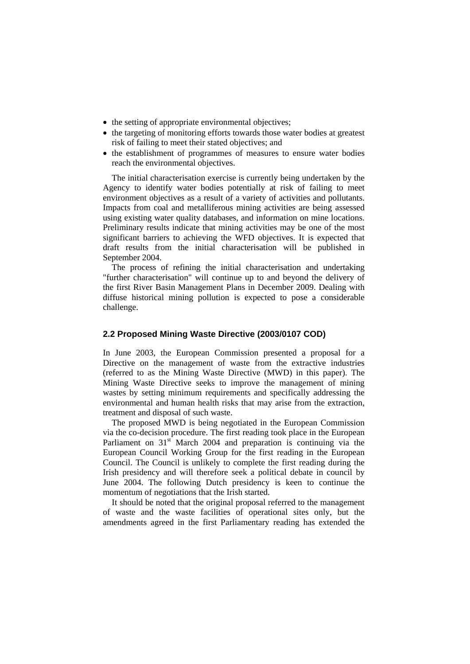- the setting of appropriate environmental objectives;
- the targeting of monitoring efforts towards those water bodies at greatest risk of failing to meet their stated objectives; and
- the establishment of programmes of measures to ensure water bodies reach the environmental objectives.

The initial characterisation exercise is currently being undertaken by the Agency to identify water bodies potentially at risk of failing to meet environment objectives as a result of a variety of activities and pollutants. Impacts from coal and metalliferous mining activities are being assessed using existing water quality databases, and information on mine locations. Preliminary results indicate that mining activities may be one of the most significant barriers to achieving the WFD objectives. It is expected that draft results from the initial characterisation will be published in September 2004.

The process of refining the initial characterisation and undertaking "further characterisation" will continue up to and beyond the delivery of the first River Basin Management Plans in December 2009. Dealing with diffuse historical mining pollution is expected to pose a considerable challenge.

#### **2.2 Proposed Mining Waste Directive (2003/0107 COD)**

In June 2003, the European Commission presented a proposal for a Directive on the management of waste from the extractive industries (referred to as the Mining Waste Directive (MWD) in this paper). The Mining Waste Directive seeks to improve the management of mining wastes by setting minimum requirements and specifically addressing the environmental and human health risks that may arise from the extraction, treatment and disposal of such waste.

The proposed MWD is being negotiated in the European Commission via the co-decision procedure. The first reading took place in the European Parliament on  $31<sup>st</sup>$  March 2004 and preparation is continuing via the European Council Working Group for the first reading in the European Council. The Council is unlikely to complete the first reading during the Irish presidency and will therefore seek a political debate in council by June 2004. The following Dutch presidency is keen to continue the momentum of negotiations that the Irish started.

It should be noted that the original proposal referred to the management of waste and the waste facilities of operational sites only, but the amendments agreed in the first Parliamentary reading has extended the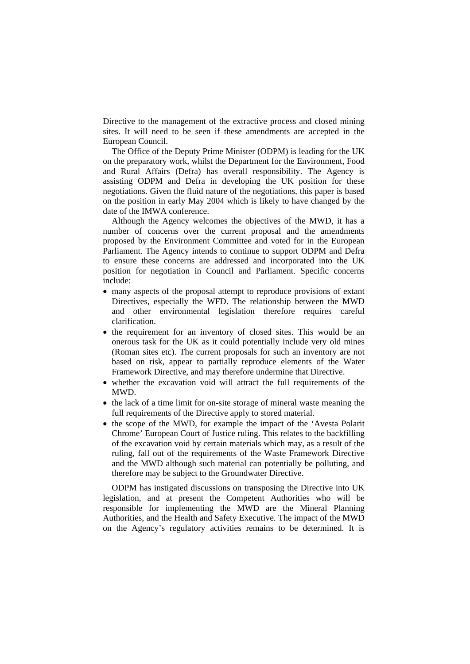Directive to the management of the extractive process and closed mining sites. It will need to be seen if these amendments are accepted in the European Council.

The Office of the Deputy Prime Minister (ODPM) is leading for the UK on the preparatory work, whilst the Department for the Environment, Food and Rural Affairs (Defra) has overall responsibility. The Agency is assisting ODPM and Defra in developing the UK position for these negotiations. Given the fluid nature of the negotiations, this paper is based on the position in early May 2004 which is likely to have changed by the date of the IMWA conference.

Although the Agency welcomes the objectives of the MWD, it has a number of concerns over the current proposal and the amendments proposed by the Environment Committee and voted for in the European Parliament. The Agency intends to continue to support ODPM and Defra to ensure these concerns are addressed and incorporated into the UK position for negotiation in Council and Parliament. Specific concerns include:

- many aspects of the proposal attempt to reproduce provisions of extant Directives, especially the WFD. The relationship between the MWD and other environmental legislation therefore requires careful clarification.
- the requirement for an inventory of closed sites. This would be an onerous task for the UK as it could potentially include very old mines (Roman sites etc). The current proposals for such an inventory are not based on risk, appear to partially reproduce elements of the Water Framework Directive, and may therefore undermine that Directive.
- whether the excavation void will attract the full requirements of the MWD.
- the lack of a time limit for on-site storage of mineral waste meaning the full requirements of the Directive apply to stored material.
- the scope of the MWD, for example the impact of the 'Avesta Polarit Chrome' European Court of Justice ruling. This relates to the backfilling of the excavation void by certain materials which may, as a result of the ruling, fall out of the requirements of the Waste Framework Directive and the MWD although such material can potentially be polluting, and therefore may be subject to the Groundwater Directive.

ODPM has instigated discussions on transposing the Directive into UK legislation, and at present the Competent Authorities who will be responsible for implementing the MWD are the Mineral Planning Authorities, and the Health and Safety Executive. The impact of the MWD on the Agency's regulatory activities remains to be determined. It is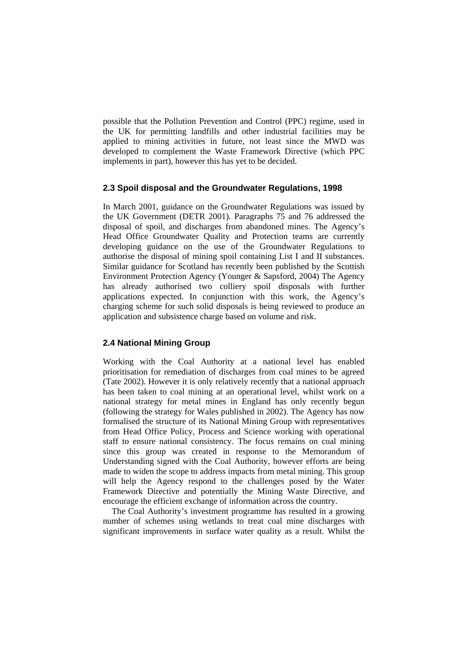possible that the Pollution Prevention and Control (PPC) regime, used in the UK for permitting landfills and other industrial facilities may be applied to mining activities in future, not least since the MWD was developed to complement the Waste Framework Directive (which PPC implements in part), however this has yet to be decided.

#### **2.3 Spoil disposal and the Groundwater Regulations, 1998**

In March 2001, guidance on the Groundwater Regulations was issued by the UK Government (DETR 2001). Paragraphs 75 and 76 addressed the disposal of spoil, and discharges from abandoned mines. The Agency's Head Office Groundwater Quality and Protection teams are currently developing guidance on the use of the Groundwater Regulations to authorise the disposal of mining spoil containing List I and II substances. Similar guidance for Scotland has recently been published by the Scottish Environment Protection Agency (Younger & Sapsford, 2004) The Agency has already authorised two colliery spoil disposals with further applications expected. In conjunction with this work, the Agency's charging scheme for such solid disposals is being reviewed to produce an application and subsistence charge based on volume and risk.

#### **2.4 National Mining Group**

Working with the Coal Authority at a national level has enabled prioritisation for remediation of discharges from coal mines to be agreed (Tate 2002). However it is only relatively recently that a national approach has been taken to coal mining at an operational level, whilst work on a national strategy for metal mines in England has only recently begun (following the strategy for Wales published in 2002). The Agency has now formalised the structure of its National Mining Group with representatives from Head Office Policy, Process and Science working with operational staff to ensure national consistency. The focus remains on coal mining since this group was created in response to the Memorandum of Understanding signed with the Coal Authority, however efforts are being made to widen the scope to address impacts from metal mining. This group will help the Agency respond to the challenges posed by the Water Framework Directive and potentially the Mining Waste Directive, and encourage the efficient exchange of information across the country.

The Coal Authority's investment programme has resulted in a growing number of schemes using wetlands to treat coal mine discharges with significant improvements in surface water quality as a result. Whilst the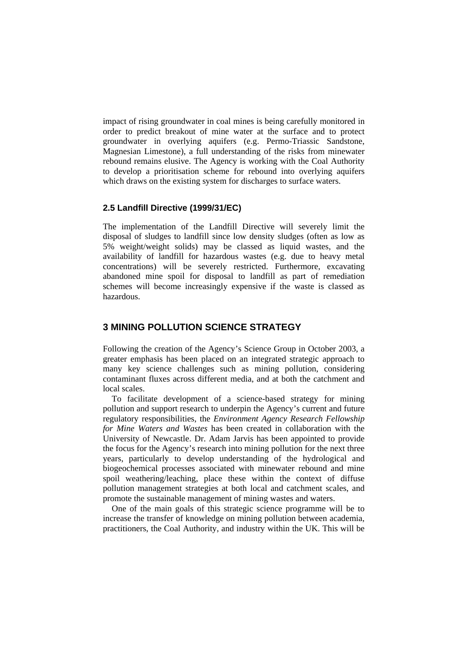impact of rising groundwater in coal mines is being carefully monitored in order to predict breakout of mine water at the surface and to protect groundwater in overlying aquifers (e.g. Permo-Triassic Sandstone, Magnesian Limestone), a full understanding of the risks from minewater rebound remains elusive. The Agency is working with the Coal Authority to develop a prioritisation scheme for rebound into overlying aquifers which draws on the existing system for discharges to surface waters.

#### **2.5 Landfill Directive (1999/31/EC)**

The implementation of the Landfill Directive will severely limit the disposal of sludges to landfill since low density sludges (often as low as 5% weight/weight solids) may be classed as liquid wastes, and the availability of landfill for hazardous wastes (e.g. due to heavy metal concentrations) will be severely restricted. Furthermore, excavating abandoned mine spoil for disposal to landfill as part of remediation schemes will become increasingly expensive if the waste is classed as hazardous.

# **3 MINING POLLUTION SCIENCE STRATEGY**

Following the creation of the Agency's Science Group in October 2003, a greater emphasis has been placed on an integrated strategic approach to many key science challenges such as mining pollution, considering contaminant fluxes across different media, and at both the catchment and local scales.

To facilitate development of a science-based strategy for mining pollution and support research to underpin the Agency's current and future regulatory responsibilities, the *Environment Agency Research Fellowship for Mine Waters and Wastes* has been created in collaboration with the University of Newcastle. Dr. Adam Jarvis has been appointed to provide the focus for the Agency's research into mining pollution for the next three years, particularly to develop understanding of the hydrological and biogeochemical processes associated with minewater rebound and mine spoil weathering/leaching, place these within the context of diffuse pollution management strategies at both local and catchment scales, and promote the sustainable management of mining wastes and waters.

One of the main goals of this strategic science programme will be to increase the transfer of knowledge on mining pollution between academia, practitioners, the Coal Authority, and industry within the UK. This will be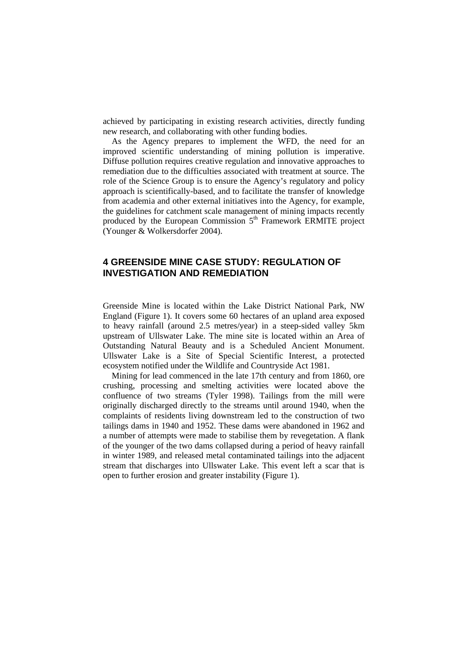achieved by participating in existing research activities, directly funding new research, and collaborating with other funding bodies.

As the Agency prepares to implement the WFD, the need for an improved scientific understanding of mining pollution is imperative. Diffuse pollution requires creative regulation and innovative approaches to remediation due to the difficulties associated with treatment at source. The role of the Science Group is to ensure the Agency's regulatory and policy approach is scientifically-based, and to facilitate the transfer of knowledge from academia and other external initiatives into the Agency, for example, the guidelines for catchment scale management of mining impacts recently produced by the European Commission 5<sup>th</sup> Framework ERMITE project (Younger & Wolkersdorfer 2004).

# **4 GREENSIDE MINE CASE STUDY: REGULATION OF INVESTIGATION AND REMEDIATION**

Greenside Mine is located within the Lake District National Park, NW England (Figure 1). It covers some 60 hectares of an upland area exposed to heavy rainfall (around 2.5 metres/year) in a steep-sided valley 5km upstream of Ullswater Lake. The mine site is located within an Area of Outstanding Natural Beauty and is a Scheduled Ancient Monument. Ullswater Lake is a Site of Special Scientific Interest, a protected ecosystem notified under the Wildlife and Countryside Act 1981.

Mining for lead commenced in the late 17th century and from 1860, ore crushing, processing and smelting activities were located above the confluence of two streams (Tyler 1998). Tailings from the mill were originally discharged directly to the streams until around 1940, when the complaints of residents living downstream led to the construction of two tailings dams in 1940 and 1952. These dams were abandoned in 1962 and a number of attempts were made to stabilise them by revegetation. A flank of the younger of the two dams collapsed during a period of heavy rainfall in winter 1989, and released metal contaminated tailings into the adjacent stream that discharges into Ullswater Lake. This event left a scar that is open to further erosion and greater instability (Figure 1).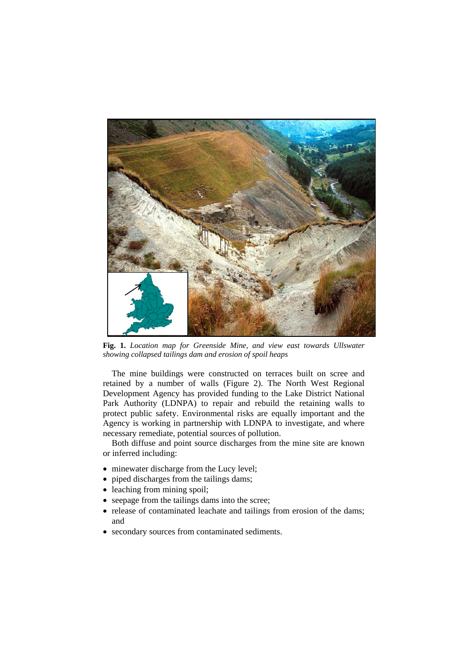

**Fig. 1.** *Location map for Greenside Mine, and view east towards Ullswater showing collapsed tailings dam and erosion of spoil heaps*

The mine buildings were constructed on terraces built on scree and retained by a number of walls (Figure 2). The North West Regional Development Agency has provided funding to the Lake District National Park Authority (LDNPA) to repair and rebuild the retaining walls to protect public safety. Environmental risks are equally important and the Agency is working in partnership with LDNPA to investigate, and where necessary remediate, potential sources of pollution.

Both diffuse and point source discharges from the mine site are known or inferred including:

- minewater discharge from the Lucy level;
- piped discharges from the tailings dams;
- leaching from mining spoil;
- seepage from the tailings dams into the scree;
- release of contaminated leachate and tailings from erosion of the dams; and
- secondary sources from contaminated sediments.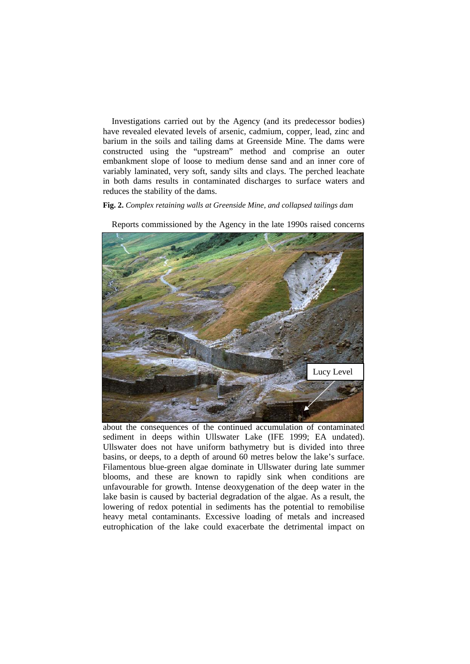Investigations carried out by the Agency (and its predecessor bodies) have revealed elevated levels of arsenic, cadmium, copper, lead, zinc and barium in the soils and tailing dams at Greenside Mine. The dams were constructed using the "upstream" method and comprise an outer embankment slope of loose to medium dense sand and an inner core of variably laminated, very soft, sandy silts and clays. The perched leachate in both dams results in contaminated discharges to surface waters and reduces the stability of the dams.

#### **Fig. 2.** *Complex retaining walls at Greenside Mine, and collapsed tailings dam*



Reports commissioned by the Agency in the late 1990s raised concerns

about the consequences of the continued accumulation of contaminated sediment in deeps within Ullswater Lake (IFE 1999; EA undated). Ullswater does not have uniform bathymetry but is divided into three basins, or deeps, to a depth of around 60 metres below the lake's surface. Filamentous blue-green algae dominate in Ullswater during late summer blooms, and these are known to rapidly sink when conditions are unfavourable for growth. Intense deoxygenation of the deep water in the lake basin is caused by bacterial degradation of the algae. As a result, the lowering of redox potential in sediments has the potential to remobilise heavy metal contaminants. Excessive loading of metals and increased eutrophication of the lake could exacerbate the detrimental impact on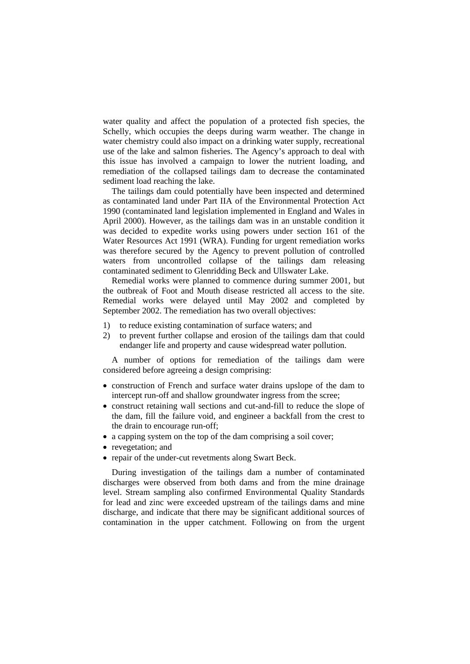water quality and affect the population of a protected fish species, the Schelly, which occupies the deeps during warm weather. The change in water chemistry could also impact on a drinking water supply, recreational use of the lake and salmon fisheries. The Agency's approach to deal with this issue has involved a campaign to lower the nutrient loading, and remediation of the collapsed tailings dam to decrease the contaminated sediment load reaching the lake.

The tailings dam could potentially have been inspected and determined as contaminated land under Part IIA of the Environmental Protection Act 1990 (contaminated land legislation implemented in England and Wales in April 2000). However, as the tailings dam was in an unstable condition it was decided to expedite works using powers under section 161 of the Water Resources Act 1991 (WRA). Funding for urgent remediation works was therefore secured by the Agency to prevent pollution of controlled waters from uncontrolled collapse of the tailings dam releasing contaminated sediment to Glenridding Beck and Ullswater Lake.

Remedial works were planned to commence during summer 2001, but the outbreak of Foot and Mouth disease restricted all access to the site. Remedial works were delayed until May 2002 and completed by September 2002. The remediation has two overall objectives:

- 1) to reduce existing contamination of surface waters; and
- 2) to prevent further collapse and erosion of the tailings dam that could endanger life and property and cause widespread water pollution.

A number of options for remediation of the tailings dam were considered before agreeing a design comprising:

- construction of French and surface water drains upslope of the dam to intercept run-off and shallow groundwater ingress from the scree;
- construct retaining wall sections and cut-and-fill to reduce the slope of the dam, fill the failure void, and engineer a backfall from the crest to the drain to encourage run-off;
- a capping system on the top of the dam comprising a soil cover;
- revegetation; and
- repair of the under-cut revetments along Swart Beck.

During investigation of the tailings dam a number of contaminated discharges were observed from both dams and from the mine drainage level. Stream sampling also confirmed Environmental Quality Standards for lead and zinc were exceeded upstream of the tailings dams and mine discharge, and indicate that there may be significant additional sources of contamination in the upper catchment. Following on from the urgent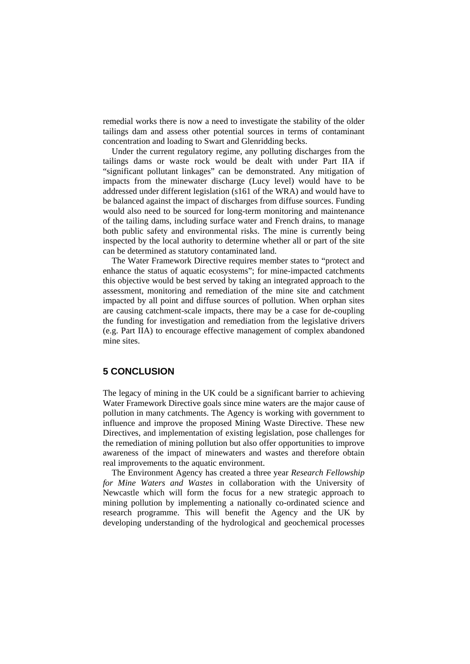remedial works there is now a need to investigate the stability of the older tailings dam and assess other potential sources in terms of contaminant concentration and loading to Swart and Glenridding becks.

Under the current regulatory regime, any polluting discharges from the tailings dams or waste rock would be dealt with under Part IIA if "significant pollutant linkages" can be demonstrated. Any mitigation of impacts from the minewater discharge (Lucy level) would have to be addressed under different legislation (s161 of the WRA) and would have to be balanced against the impact of discharges from diffuse sources. Funding would also need to be sourced for long-term monitoring and maintenance of the tailing dams, including surface water and French drains, to manage both public safety and environmental risks. The mine is currently being inspected by the local authority to determine whether all or part of the site can be determined as statutory contaminated land.

The Water Framework Directive requires member states to "protect and enhance the status of aquatic ecosystems"; for mine-impacted catchments this objective would be best served by taking an integrated approach to the assessment, monitoring and remediation of the mine site and catchment impacted by all point and diffuse sources of pollution. When orphan sites are causing catchment-scale impacts, there may be a case for de-coupling the funding for investigation and remediation from the legislative drivers (e.g. Part IIA) to encourage effective management of complex abandoned mine sites.

### **5 CONCLUSION**

The legacy of mining in the UK could be a significant barrier to achieving Water Framework Directive goals since mine waters are the major cause of pollution in many catchments. The Agency is working with government to influence and improve the proposed Mining Waste Directive. These new Directives, and implementation of existing legislation, pose challenges for the remediation of mining pollution but also offer opportunities to improve awareness of the impact of minewaters and wastes and therefore obtain real improvements to the aquatic environment.

The Environment Agency has created a three year *Research Fellowship for Mine Waters and Wastes* in collaboration with the University of Newcastle which will form the focus for a new strategic approach to mining pollution by implementing a nationally co-ordinated science and research programme. This will benefit the Agency and the UK by developing understanding of the hydrological and geochemical processes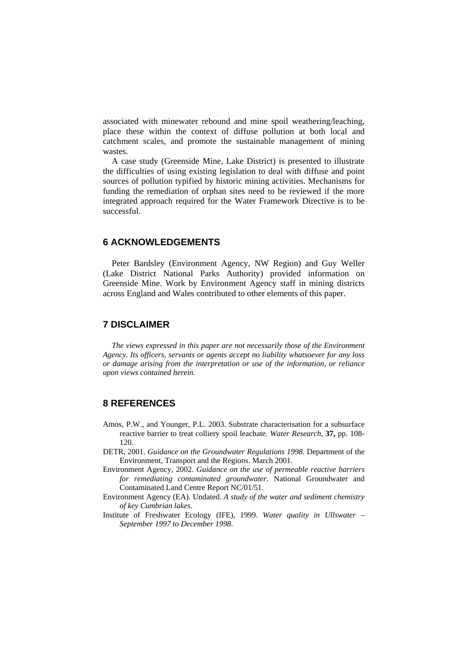associated with minewater rebound and mine spoil weathering/leaching, place these within the context of diffuse pollution at both local and catchment scales, and promote the sustainable management of mining wastes.

A case study (Greenside Mine, Lake District) is presented to illustrate the difficulties of using existing legislation to deal with diffuse and point sources of pollution typified by historic mining activities. Mechanisms for funding the remediation of orphan sites need to be reviewed if the more integrated approach required for the Water Framework Directive is to be successful.

#### **6 ACKNOWLEDGEMENTS**

Peter Bardsley (Environment Agency, NW Region) and Guy Weller (Lake District National Parks Authority) provided information on Greenside Mine. Work by Environment Agency staff in mining districts across England and Wales contributed to other elements of this paper.

# **7 DISCLAIMER**

*The views expressed in this paper are not necessarily those of the Environment Agency. Its officers, servants or agents accept no liability whatsoever for any loss or damage arising from the interpretation or use of the information, or reliance upon views contained herein.* 

# **8 REFERENCES**

- Amos, P.W., and Younger, P.L. 2003. Substrate characterisation for a subsurface reactive barrier to treat colliery spoil leachate. *Water Research,* **37,** pp. 108- 120.
- DETR, 2001. *Guidance on the Groundwater Regulations 1998.* Department of the Environment, Transport and the Regions. March 2001.
- Environment Agency, 2002. *Guidance on the use of permeable reactive barriers for remediating contaminated groundwater*. National Groundwater and Contaminated Land Centre Report NC/01/51.
- Environment Agency (EA). Undated. *A study of the water and sediment chemistry of key Cumbrian lakes*.
- Institute of Freshwater Ecology (IFE), 1999. *Water quality in Ullswater September 1997 to December 1998*.